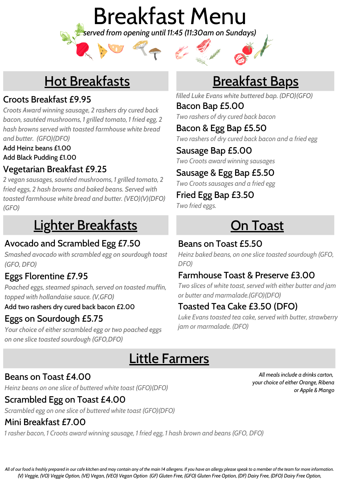

# Hot Breakfasts

### Croots Breakfast £9.95

*Croots Award winning sausage, 2 rashers dry cured back bacon, sautéed mushrooms, 1 grilled tomato, 1 fried egg, 2 hash browns served with toasted farmhouse white bread and butter. (GFO)(DFO)*

Add Heinz beans £1.00

Add Black Pudding £1.00

### Vegetarian Breakfast £9.25

*2 vegan sausages, sautéed mushrooms, 1 grilled tomato, 2 fried eggs, 2 hash browns and baked beans. Served with toasted farmhouse white bread and butter. (VEO)(V)(DFO) (GFO)*

# Lighter Breakfasts

### Avocado and Scrambled Egg £7.50

*Smashed avocado with scrambled egg on sourdough toast (GFO, DFO)*

### Eggs Florentine £7.95

*Poached eggs, steamed spinach, served on toasted muffin, topped with hollandaise sauce. (V,GFO)*

Add two rashers dry cured back bacon £2.00

### Eggs on Sourdough £5.75

*Your choice of either scrambled egg or two poached eggs on one slice toasted sourdough (GFO,DFO)*

# Breakfast Baps

Bacon Bap £5.00 *filled Luke Evans white buttered bap. (DFO)(GFO)*

*Two rashers of dry cured back bacon*

Bacon & Egg Bap £5.50 *Two rashers of dry cured back bacon and a fried egg*

Sausage Bap £5.00 *Two Croots award winning sausages*

Sausage & Egg Bap £5.50

*Two Croots sausages and a fried egg*

Fried Egg Bap £3.50

*Two fried eggs.*

# **On Toast**

### Beans on Toast £5.50

*Heinz baked beans, on one slice toasted sourdough (GFO, DFO)*

### Farmhouse Toast & Preserve £3.00

*Two slices of white toast, served with either butter and jam or butter and marmalade.(GFO)(DFO)*

### Toasted Tea Cake £3.50 (DFO)

*Luke Evans toasted tea cake, served with butter, strawberry jam or marmalade. (DFO)*

## Little Farmers

#### Beans on Toast £4.00

*Heinz beans on one slice of buttered white toast (GFO)(DFO)*

### Scrambled Egg on Toast £4.00

*Scrambled egg on one slice of buttered white toast (GFO)(DFO)*

### Mini Breakfast £7.00

*1 rasher bacon, 1 Croots award winning sausage, 1 fried egg, 1 hash brown and beans (GFO, DFO)*

*All meals include a drinks carton, your choice of either Orange, Ribena or Apple & Mango*